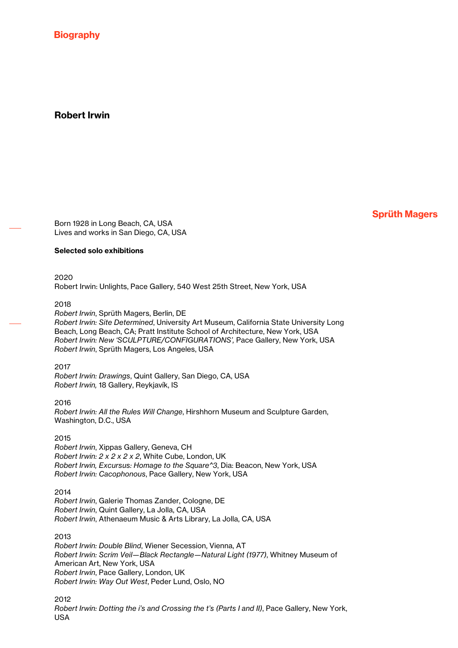**Biography** 

# Robert Irwin

Sprüth Magers

Born 1928 in Long Beach, CA, USA Lives and works in San Diego, CA, USA

# Selected solo exhibitions

2020 Robert Irwin: Unlights, Pace Gallery, 540 West 25th Street, New York, USA

#### 2018

*Robert Irwin*, Sprüth Magers, Berlin, DE *Robert Irwin: Site Determined*, University Art Museum, California State University Long Beach, Long Beach, CA; Pratt Institute School of Architecture, New York, USA *Robert Irwin: New 'SCULPTURE/CONFIGURATIONS',* Pace Gallery, New York, USA *Robert Irwin*, Sprüth Magers, Los Angeles, USA

2017

*Robert Irwin: Drawings*, Quint Gallery, San Diego, CA, USA *Robert Irwin,* 18 Gallery, Reykjavík, IS

# 2016

*Robert Irwin: All the Rules Will Change*, Hirshhorn Museum and Sculpture Garden, Washington, D.C., USA

#### 2015

*Robert Irwin*, Xippas Gallery, Geneva, CH *Robert Irwin: 2 x 2 x 2 x 2*, White Cube, London, UK *Robert Irwin, Excursus: Homage to the Square^3*, Dia: Beacon, New York, USA *Robert Irwin: Cacophonous*, Pace Gallery, New York, USA

#### 2014

*Robert Irwin*, Galerie Thomas Zander, Cologne, DE *Robert Irwin*, Quint Gallery, La Jolla, CA, USA *Robert Irwin*, Athenaeum Music & Arts Library, La Jolla, CA, USA

#### 2013

*Robert Irwin: Double Blind*, Wiener Secession, Vienna, AT *Robert Irwin: Scrim Veil—Black Rectangle—Natural Light (1977)*, Whitney Museum of American Art, New York, USA *Robert Irwin*, Pace Gallery, London, UK *Robert Irwin: Way Out West*, Peder Lund, Oslo, NO

2012 *Robert Irwin: Dotting the i's and Crossing the t's (Parts I and II)*, Pace Gallery, New York, USA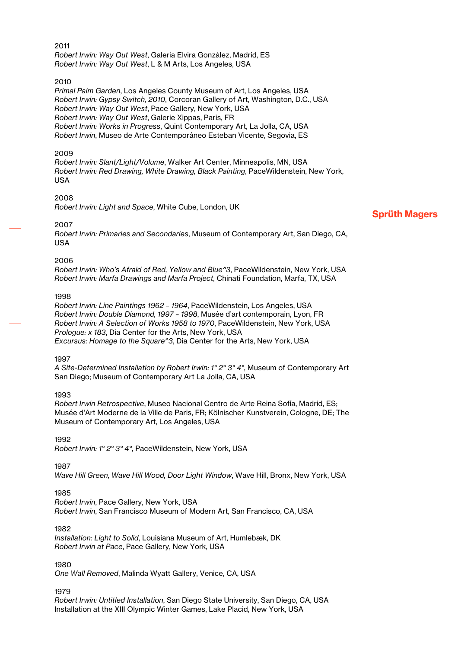# 2011

*Robert Irwin: Way Out West*, Galeria Elvira González, Madrid, ES *Robert Irwin: Way Out West*, L & M Arts, Los Angeles, USA

#### 2010

*Primal Palm Garden*, Los Angeles County Museum of Art, Los Angeles, USA *Robert Irwin: Gypsy Switch, 2010*, Corcoran Gallery of Art, Washington, D.C., USA *Robert Irwin: Way Out West*, Pace Gallery, New York, USA *Robert Irwin: Way Out West*, Galerie Xippas, Paris, FR *Robert Irwin: Works in Progress*, Quint Contemporary Art, La Jolla, CA, USA *Robert Irwin*, Museo de Arte Contemporáneo Esteban Vicente, Segovia, ES

#### 2009

*Robert Irwin: Slant/Light/Volume*, Walker Art Center, Minneapolis, MN, USA *Robert Irwin: Red Drawing, White Drawing, Black Painting*, PaceWildenstein, New York, USA

#### 2008

*Robert Irwin: Light and Space*, White Cube, London, UK

#### 2007

*Robert Irwin: Primaries and Secondaries*, Museum of Contemporary Art, San Diego, CA, USA

#### 2006

*Robert Irwin: Who's Afraid of Red, Yellow and Blue^3*, PaceWildenstein, New York, USA *Robert Irwin: Marfa Drawings and Marfa Project*, Chinati Foundation, Marfa, TX, USA

#### 1998

*Robert Irwin: Line Paintings 1962 – 1964*, PaceWildenstein, Los Angeles, USA *Robert Irwin: Double Diamond, 1997 – 1998*, Musée d'art contemporain, Lyon, FR *Robert Irwin: A Selection of Works 1958 to 1970*, PaceWildenstein, New York, USA *Prologue: x 183*, Dia Center for the Arts, New York, USA *Excursus: Homage to the Square^3*, Dia Center for the Arts, New York, USA

#### 1997

*A Site-Determined Installation by Robert Irwin: 1° 2° 3° 4°*, Museum of Contemporary Art San Diego; Museum of Contemporary Art La Jolla, CA, USA

#### 1993

*Robert Irwin Retrospective*, Museo Nacional Centro de Arte Reina Sofía, Madrid, ES; Musée d'Art Moderne de la Ville de Paris, FR; Kölnischer Kunstverein, Cologne, DE; The Museum of Contemporary Art, Los Angeles, USA

1992

*Robert Irwin: 1° 2° 3° 4°*, PaceWildenstein, New York, USA

1987

*Wave Hill Green, Wave Hill Wood, Door Light Window*, Wave Hill, Bronx, New York, USA

# 1985

*Robert Irwin*, Pace Gallery, New York, USA *Robert Irwin*, San Francisco Museum of Modern Art, San Francisco, CA, USA

# 1982

*Installation: Light to Solid*, Louisiana Museum of Art, Humlebæk, DK *Robert Irwin at Pace*, Pace Gallery, New York, USA

# 1980

*One Wall Removed*, Malinda Wyatt Gallery, Venice, CA, USA

1979

*Robert Irwin: Untitled Installation*, San Diego State University, San Diego, CA, USA Installation at the XIII Olympic Winter Games, Lake Placid, New York, USA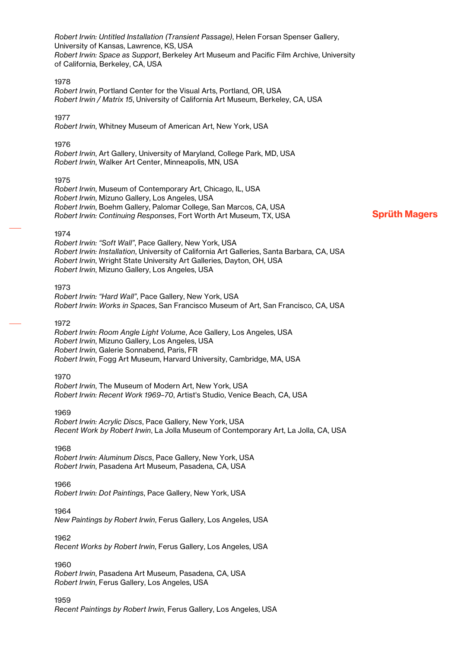*Robert Irwin: Untitled Installation (Transient Passage)*, Helen Forsan Spenser Gallery, University of Kansas, Lawrence, KS, USA *Robert Irwin: Space as Support*, Berkeley Art Museum and Pacific Film Archive, University of California, Berkeley, CA, USA

#### 1978

*Robert Irwin*, Portland Center for the Visual Arts, Portland, OR, USA *Robert Irwin / Matrix 15*, University of California Art Museum, Berkeley, CA, USA

#### 1977

*Robert Irwin*, Whitney Museum of American Art, New York, USA

#### 1976

*Robert Irwin*, Art Gallery, University of Maryland, College Park, MD, USA *Robert Irwin*, Walker Art Center, Minneapolis, MN, USA

#### 1975

*Robert Irwin*, Museum of Contemporary Art, Chicago, IL, USA *Robert Irwin*, Mizuno Gallery, Los Angeles, USA *Robert Irwin*, Boehm Gallery, Palomar College, San Marcos, CA, USA *Robert Irwin: Continuing Responses*, Fort Worth Art Museum, TX, USA

# Sprüth Magers

#### 1974

*Robert Irwin: "Soft Wall"*, Pace Gallery, New York, USA *Robert Irwin: Installation*, University of California Art Galleries, Santa Barbara, CA, USA *Robert Irwin*, Wright State University Art Galleries, Dayton, OH, USA *Robert Irwin*, Mizuno Gallery, Los Angeles, USA

#### 1973

*Robert Irwin: "Hard Wall"*, Pace Gallery, New York, USA *Robert Irwin*: *Works in Spaces*, San Francisco Museum of Art, San Francisco, CA, USA

#### 1972

*Robert Irwin: Room Angle Light Volume*, Ace Gallery, Los Angeles, USA *Robert Irwin*, Mizuno Gallery, Los Angeles, USA *Robert Irwin*, Galerie Sonnabend, Paris, FR *Robert Irwin*, Fogg Art Museum, Harvard University, Cambridge, MA, USA

#### 1970

*Robert Irwin*, The Museum of Modern Art, New York, USA *Robert Irwin: Recent Work 1969–70*, Artist's Studio, Venice Beach, CA, USA

#### 1969

*Robert Irwin: Acrylic Discs*, Pace Gallery, New York, USA *Recent Work by Robert Irwin*, La Jolla Museum of Contemporary Art, La Jolla, CA, USA

#### 1968

*Robert Irwin: Aluminum Discs*, Pace Gallery, New York, USA *Robert Irwin*, Pasadena Art Museum, Pasadena, CA, USA

#### 1966

*Robert Irwin: Dot Paintings*, Pace Gallery, New York, USA

#### 1964

*New Paintings by Robert Irwin*, Ferus Gallery, Los Angeles, USA

#### 1962

*Recent Works by Robert Irwin*, Ferus Gallery, Los Angeles, USA

#### 1960

*Robert Irwin*, Pasadena Art Museum, Pasadena, CA, USA *Robert Irwin*, Ferus Gallery, Los Angeles, USA

1959 *Recent Paintings by Robert Irwin*, Ferus Gallery, Los Angeles, USA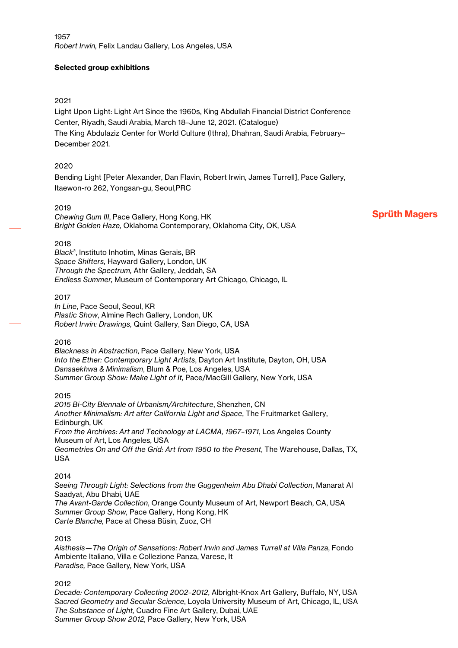# Selected group exhibitions

# 2021

Light Upon Light: Light Art Since the 1960s, King Abdullah Financial District Conference Center, Riyadh, Saudi Arabia, March 18–June 12, 2021. (Catalogue) The King Abdulaziz Center for World Culture (Ithra), Dhahran, Saudi Arabia, February– December 2021.

# 2020

Bending Light [Peter Alexander, Dan Flavin, Robert Irwin, James Turrell], Pace Gallery, Itaewon-ro 262, Yongsan-gu, Seoul,PRC

# 2019

*Chewing Gum III*, Pace Gallery, Hong Kong, HK *Bright Golden Haze,* Oklahoma Contemporary, Oklahoma City, OK, USA Sprüth Magers

# 2018

*Black3* , Instituto Inhotim, Minas Gerais, BR *Space Shifters,* Hayward Gallery, London, UK *Through the Spectrum,* Athr Gallery, Jeddah, SA *Endless Summer,* Museum of Contemporary Art Chicago, Chicago, IL

# 2017

*In Line*, Pace Seoul, Seoul, KR *Plastic Show*, Almine Rech Gallery, London, UK *Robert Irwin: Drawings,* Quint Gallery, San Diego, CA, USA

# 2016

*Blackness in Abstraction*, Pace Gallery, New York, USA *Into the Ether: Contemporary Light Artists*, Dayton Art Institute, Dayton, OH, USA *Dansaekhwa & Minimalism*, Blum & Poe, Los Angeles, USA *Summer Group Show: Make Light of It,* Pace/MacGill Gallery, New York, USA

# 2015

*2015 Bi-City Biennale of Urbanism/Architecture*, Shenzhen, CN *Another Minimalism: Art after California Light and Space*, The Fruitmarket Gallery, Edinburgh, UK *From the Archives: Art and Technology at LACMA, 1967–1971*, Los Angeles County Museum of Art, Los Angeles, USA *Geometries On and Off the Grid: Art from 1950 to the Present*, The Warehouse, Dallas, TX, USA

# 2014

*Seeing Through Light: Selections from the Guggenheim Abu Dhabi Collection*, Manarat Al Saadyat, Abu Dhabi, UAE *The Avant-Garde Collection*, Orange County Museum of Art, Newport Beach, CA, USA *Summer Group Show,* Pace Gallery, Hong Kong, HK *Carte Blanche,* Pace at Chesa Büsin, Zuoz, CH

# 2013

*Aisthesis—The Origin of Sensations: Robert Irwin and James Turrell at Villa Panza*, Fondo Ambiente Italiano, Villa e Collezione Panza, Varese, It *Paradise,* Pace Gallery*,* New York, USA

# 2012

*Decade: Contemporary Collecting 2002–2012*, Albright-Knox Art Gallery, Buffalo, NY, USA *Sacred Geometry and Secular Science*, Loyola University Museum of Art, Chicago, IL, USA *The Substance of Light,* Cuadro Fine Art Gallery, Dubai, UAE *Summer Group Show 2012,* Pace Gallery, New York, USA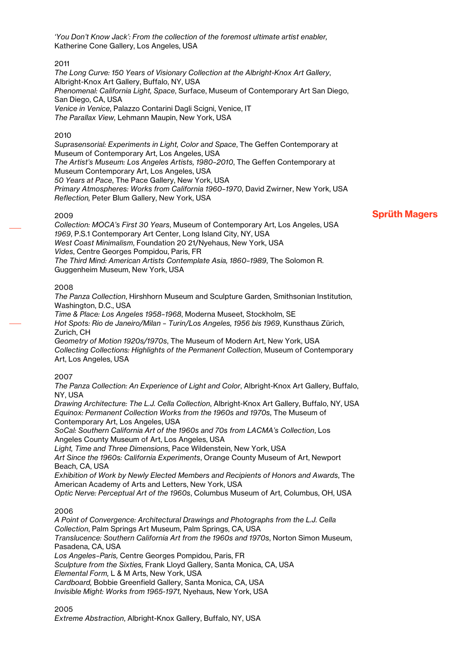*'You Don't Know Jack': From the collection of the foremost ultimate artist enabler,*  Katherine Cone Gallery, Los Angeles, USA

# 2011

*The Long Curve: 150 Years of Visionary Collection at the Albright-Knox Art Gallery*, Albright-Knox Art Gallery, Buffalo, NY, USA *Phenomenal: California Light, Space*, Surface, Museum of Contemporary Art San Diego, San Diego, CA, USA *Venice in Venice*, Palazzo Contarini Dagli Scigni, Venice, IT *The Parallax View,* Lehmann Maupin, New York, USA

# 2010

*Suprasensorial: Experiments in Light, Color and Space*, The Geffen Contemporary at Museum of Contemporary Art, Los Angeles, USA *The Artist's Museum: Los Angeles Artists, 1980–2010*, The Geffen Contemporary at Museum Contemporary Art, Los Angeles, USA *50 Years at Pace*, The Pace Gallery, New York, USA *Primary Atmospheres: Works from California 1960–1970*, David Zwirner, New York, USA *Reflection,* Peter Blum Gallery, New York, USA

# 2009

*Collection: MOCA's First 30 Years*, Museum of Contemporary Art, Los Angeles, USA *1969*, P.S.1 Contemporary Art Center, Long Island City, NY, USA *West Coast Minimalism*, Foundation 20 21/Nyehaus, New York, USA *Vides*, Centre Georges Pompidou, Paris, FR *The Third Mind: American Artists Contemplate Asia, 1860–1989*, The Solomon R. Guggenheim Museum, New York, USA

# 2008

*The Panza Collection*, Hirshhorn Museum and Sculpture Garden, Smithsonian Institution, Washington, D.C., USA

*Time & Place: Los Angeles 1958–1968*, Moderna Museet, Stockholm, SE *Hot Spots: Rio de Janeiro/Milan – Turin/Los Angeles, 1956 bis 1969*, Kunsthaus Zürich, Zurich, CH

*Geometry of Motion 1920s/1970s*, The Museum of Modern Art, New York, USA *Collecting Collections: Highlights of the Permanent Collection*, Museum of Contemporary Art, Los Angeles, USA

# 2007

*The Panza Collection: An Experience of Light and Color*, Albright-Knox Art Gallery, Buffalo, NY, USA

*Drawing Architecture: The L.J. Cella Collection*, Albright-Knox Art Gallery, Buffalo, NY, USA *Equinox: Permanent Collection Works from the 1960s and 1970s*, The Museum of Contemporary Art, Los Angeles, USA

*SoCal: Southern California Art of the 1960s and 70s from LACMA's Collection*, Los Angeles County Museum of Art, Los Angeles, USA

*Light, Time and Three Dimensions,* Pace Wildenstein, New York, USA *Art Since the 1960s: California Experiments*, Orange County Museum of Art, Newport Beach, CA, USA

*Exhibition of Work by Newly Elected Members and Recipients of Honors and Awards*, The American Academy of Arts and Letters, New York, USA

*Optic Nerve: Perceptual Art of the 1960s*, Columbus Museum of Art, Columbus, OH, USA

2006

*A Point of Convergence: Architectural Drawings and Photographs from the L.J. Cella Collection*, Palm Springs Art Museum, Palm Springs, CA, USA *Translucence: Southern California Art from the 1960s and 1970s*, Norton Simon Museum, Pasadena, CA, USA *Los Angeles–Paris,* Centre Georges Pompidou, Paris, FR *Sculpture from the Sixties,* Frank Lloyd Gallery, Santa Monica, CA, USA *Elemental Form,* L & M Arts, New York, USA *Cardboard,* Bobbie Greenfield Gallery, Santa Monica, CA, USA *Invisible Might: Works from 1965-1971,* Nyehaus, New York, USA

2005 *Extreme Abstraction*, Albright-Knox Gallery, Buffalo, NY, USA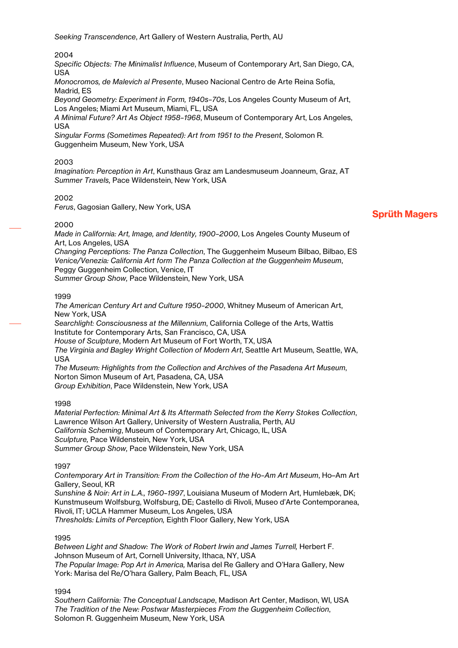2004

*Specific Objects: The Minimalist Influence*, Museum of Contemporary Art, San Diego, CA, USA

*Monocromos, de Malevich al Presente*, Museo Nacional Centro de Arte Reina Sofía, Madrid, ES

*Beyond Geometry: Experiment in Form, 1940s–70s*, Los Angeles County Museum of Art, Los Angeles; Miami Art Museum, Miami, FL, USA

*A Minimal Future? Art As Object 1958–1968*, Museum of Contemporary Art, Los Angeles, USA

*Singular Forms (Sometimes Repeated): Art from 1951 to the Present*, Solomon R. Guggenheim Museum, New York, USA

#### 2003

*Imagination: Perception in Art*, Kunsthaus Graz am Landesmuseum Joanneum, Graz, AT *Summer Travels,* Pace Wildenstein, New York, USA

#### 2002

*Ferus*, Gagosian Gallery, New York, USA

#### 2000

*Made in California: Art, Image, and Identity, 1900–2000*, Los Angeles County Museum of Art, Los Angeles, USA

*Changing Perceptions: The Panza Collection*, The Guggenheim Museum Bilbao, Bilbao, ES *Venice/Venezia: California Art form The Panza Collection at the Guggenheim Museum*, Peggy Guggenheim Collection, Venice, IT

*Summer Group Show,* Pace Wildenstein, New York, USA

#### 1999

*The American Century Art and Culture 1950–2000*, Whitney Museum of American Art, New York, USA *Searchlight: Consciousness at the Millennium*, California College of the Arts, Wattis Institute for Contemporary Arts, San Francisco, CA, USA *House of Sculpture*, Modern Art Museum of Fort Worth, TX, USA *The Virginia and Bagley Wright Collection of Modern Art*, Seattle Art Museum, Seattle, WA, USA *The Museum: Highlights from the Collection and Archives of the Pasadena Art Museum*, Norton Simon Museum of Art, Pasadena, CA, USA *Group Exhibition*, Pace Wildenstein, New York, USA

#### 1998

*Material Perfection: Minimal Art & Its Aftermath Selected from the Kerry Stokes Collection*, Lawrence Wilson Art Gallery, University of Western Australia, Perth, AU *California Scheming*, Museum of Contemporary Art, Chicago, IL, USA *Sculpture,* Pace Wildenstein, New York, USA *Summer Group Show,* Pace Wildenstein, New York, USA

1997

*Contemporary Art in Transition: From the Collection of the Ho–Am Art Museum*, Ho–Am Art Gallery, Seoul, KR

*Sunshine & Noir: Art in L.A., 1960–1997*, Louisiana Museum of Modern Art, Humlebæk, DK; Kunstmuseum Wolfsburg, Wolfsburg, DE; Castello di Rivoli, Museo d'Arte Contemporanea, Rivoli, IT; UCLA Hammer Museum, Los Angeles, USA *Thresholds: Limits of Perception,* Eighth Floor Gallery, New York, USA

#### 1995

Between Light and Shadow: The Work of Robert Irwin and James Turrell, Herbert F. Johnson Museum of Art, Cornell University, Ithaca, NY, USA *The Popular Image: Pop Art in America,* Marisa del Re Gallery and O'Hara Gallery, New York: Marisa del Re/O'hara Gallery, Palm Beach, FL, USA

1994

*Southern California: The Conceptual Landscape*, Madison Art Center, Madison, WI, USA *The Tradition of the New: Postwar Masterpieces From the Guggenheim Collection*, Solomon R. Guggenheim Museum, New York, USA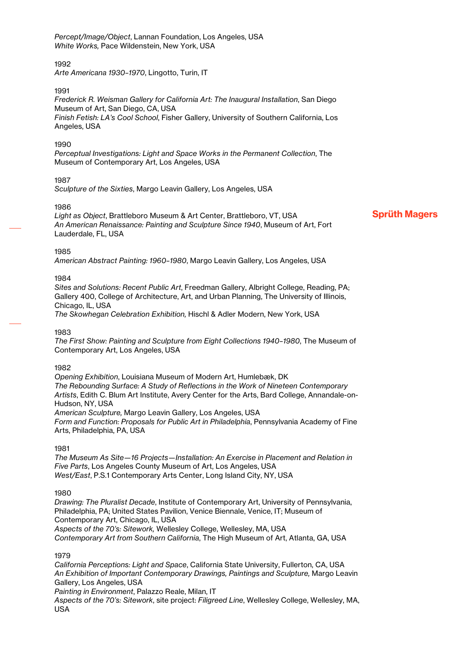*Percept/Image/Object*, Lannan Foundation, Los Angeles, USA *White Works,* Pace Wildenstein, New York, USA

# 1992

*Arte Americana 1930–1970*, Lingotto, Turin, IT

#### 1991

*Frederick R. Weisman Gallery for California Art: The Inaugural Installation*, San Diego Museum of Art, San Diego, CA, USA *Finish Fetish: LA's Cool School*, Fisher Gallery, University of Southern California, Los Angeles, USA

#### 1990

*Perceptual Investigations: Light and Space Works in the Permanent Collection*, The Museum of Contemporary Art, Los Angeles, USA

# 1987

*Sculpture of the Sixties*, Margo Leavin Gallery, Los Angeles, USA

#### 1986

*Light as Object*, Brattleboro Museum & Art Center, Brattleboro, VT, USA *An American Renaissance: Painting and Sculpture Since 1940*, Museum of Art, Fort Lauderdale, FL, USA

# Sprüth Magers

#### 1985

*American Abstract Painting: 1960–1980*, Margo Leavin Gallery, Los Angeles, USA

#### 1984

*Sites and Solutions: Recent Public Art*, Freedman Gallery, Albright College, Reading, PA; Gallery 400, College of Architecture, Art, and Urban Planning, The University of Illinois, Chicago, IL, USA

*The Skowhegan Celebration Exhibition,* Hischl & Adler Modern, New York, USA

# 1983

*The First Show: Painting and Sculpture from Eight Collections 1940–1980*, The Museum of Contemporary Art, Los Angeles, USA

#### 1982

*Opening Exhibition*, Louisiana Museum of Modern Art, Humlebæk, DK *The Rebounding Surface: A Study of Reflections in the Work of Nineteen Contemporary Artists*, Edith C. Blum Art Institute, Avery Center for the Arts, Bard College, Annandale-on-Hudson, NY, USA

*American Sculpture,* Margo Leavin Gallery, Los Angeles, USA *Form and Function: Proposals for Public Art in Philadelphia*, Pennsylvania Academy of Fine Arts, Philadelphia, PA, USA

#### 1981

*The Museum As Site—16 Projects—Installation: An Exercise in Placement and Relation in Five Parts*, Los Angeles County Museum of Art, Los Angeles, USA *West/East*, P.S.1 Contemporary Arts Center, Long Island City, NY, USA

# 1980

*Drawing: The Pluralist Decade*, Institute of Contemporary Art, University of Pennsylvania, Philadelphia, PA; United States Pavilion, Venice Biennale, Venice, IT; Museum of Contemporary Art, Chicago, IL, USA *Aspects of the 70's: Sitework,* Wellesley College, Wellesley, MA, USA *Contemporary Art from Southern California*, The High Museum of Art, Atlanta, GA, USA

1979

*California Perceptions: Light and Space*, California State University, Fullerton, CA, USA An Exhibition of Important Contemporary Drawings, Paintings and Sculpture, Margo Leavin Gallery, Los Angeles, USA

*Painting in Environment*, Palazzo Reale, Milan, IT

*Aspects of the 70's: Sitework*, site project: *Filigreed Line*, Wellesley College, Wellesley, MA, USA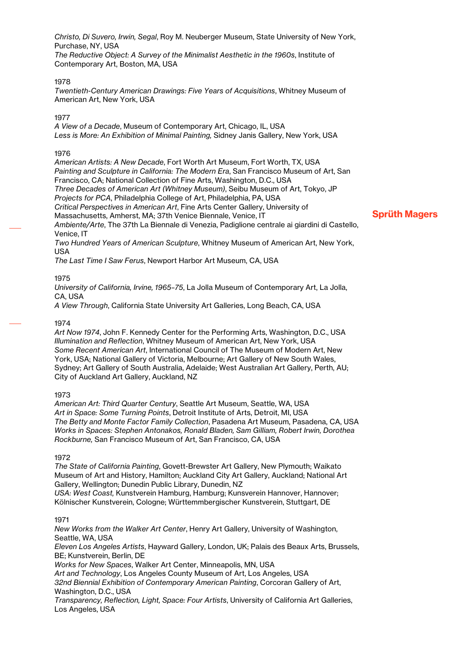*Christo, Di Suvero, Irwin, Segal*, Roy M. Neuberger Museum, State University of New York, Purchase, NY, USA *The Reductive Object: A Survey of the Minimalist Aesthetic in the 1960s*, Institute of Contemporary Art, Boston, MA, USA

# 1978

*Twentieth-Century American Drawings: Five Years of Acquisitions*, Whitney Museum of American Art, New York, USA

#### 1077

*A View of a Decade*, Museum of Contemporary Art, Chicago, IL, USA *Less is More: An Exhibition of Minimal Painting,* Sidney Janis Gallery, New York, USA

#### 1976

*American Artists: A New Decade*, Fort Worth Art Museum, Fort Worth, TX, USA *Painting and Sculpture in California: The Modern Era*, San Francisco Museum of Art, San Francisco, CA; National Collection of Fine Arts, Washington, D.C., USA *Three Decades of American Art (Whitney Museum)*, Seibu Museum of Art, Tokyo, JP *Projects for PCA*, Philadelphia College of Art, Philadelphia, PA, USA *Critical Perspectives in American Art*, Fine Arts Center Gallery, University of Massachusetts, Amherst, MA; 37th Venice Biennale, Venice, IT *Ambiente/Arte*, The 37th La Biennale di Venezia, Padiglione centrale ai giardini di Castello, Venice, IT

*Two Hundred Years of American Sculpture*, Whitney Museum of American Art, New York, USA

*The Last Time I Saw Ferus*, Newport Harbor Art Museum, CA, USA

# 1975

*University of California, Irvine, 1965–75*, La Jolla Museum of Contemporary Art, La Jolla, CA, USA

*A View Through*, California State University Art Galleries, Long Beach, CA, USA

# 1974

*Art Now 1974*, John F. Kennedy Center for the Performing Arts, Washington, D.C., USA *Illumination and Reflection*, Whitney Museum of American Art, New York, USA *Some Recent American Art*, International Council of The Museum of Modern Art, New York, USA; National Gallery of Victoria, Melbourne; Art Gallery of New South Wales, Sydney; Art Gallery of South Australia, Adelaide; West Australian Art Gallery, Perth, AU; City of Auckland Art Gallery, Auckland, NZ

#### 1973

*American Art: Third Quarter Century*, Seattle Art Museum, Seattle, WA, USA *Art in Space: Some Turning Points*, Detroit Institute of Arts, Detroit, MI, USA *The Betty and Monte Factor Family Collection*, Pasadena Art Museum, Pasadena, CA, USA *Works in Spaces: Stephen Antonakos, Ronald Bladen, Sam Gilliam, Robert Irwin, Dorothea Rockburne,* San Francisco Museum of Art, San Francisco, CA, USA

#### 1972

*The State of California Painting*, Govett-Brewster Art Gallery, New Plymouth; Waikato Museum of Art and History, Hamilton; Auckland City Art Gallery, Auckland; National Art Gallery, Wellington; Dunedin Public Library, Dunedin, NZ *USA: West Coast,* Kunstverein Hamburg, Hamburg; Kunsverein Hannover, Hannover;

Kölnischer Kunstverein, Cologne; Württemmbergischer Kunstverein, Stuttgart, DE

# 1971

*New Works from the Walker Art Center*, Henry Art Gallery, University of Washington, Seattle, WA, USA *Eleven Los Angeles Artists*, Hayward Gallery, London, UK; Palais des Beaux Arts, Brussels, BE; Kunstverein, Berlin, DE *Works for New Spaces*, Walker Art Center, Minneapolis, MN, USA *Art and Technology*, Los Angeles County Museum of Art, Los Angeles, USA *32nd Biennial Exhibition of Contemporary American Painting*, Corcoran Gallery of Art, Washington, D.C., USA *Transparency, Reflection, Light, Space: Four Artists*, University of California Art Galleries, Los Angeles, USA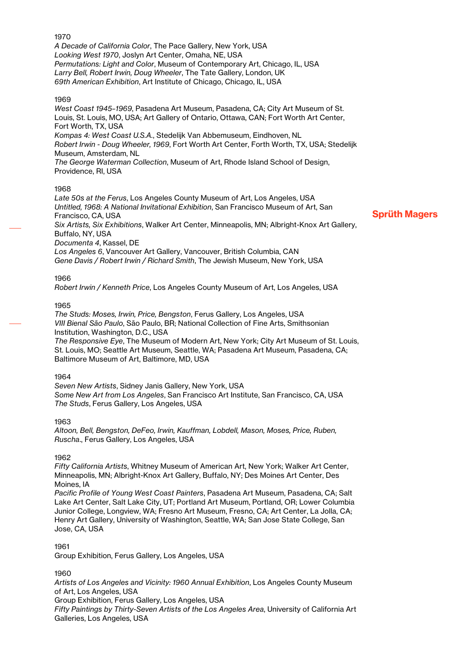*A Decade of California Color*, The Pace Gallery, New York, USA *Looking West 1970*, Joslyn Art Center, Omaha, NE, USA *Permutations: Light and Color*, Museum of Contemporary Art, Chicago, IL, USA *Larry Bell, Robert Irwin, Doug Wheeler*, The Tate Gallery, London, UK *69th American Exhibition*, Art Institute of Chicago, Chicago, IL, USA

# 1969

*West Coast 1945–1969*, Pasadena Art Museum, Pasadena, CA; City Art Museum of St. Louis, St. Louis, MO, USA; Art Gallery of Ontario, Ottawa, CAN; Fort Worth Art Center, Fort Worth, TX, USA *Kompas 4: West Coast U.S.A.*, Stedelijk Van Abbemuseum, Eindhoven, NL *Robert Irwin - Doug Wheeler, 1969*, Fort Worth Art Center, Forth Worth, TX, USA; Stedelijk Museum, Amsterdam, NL *The George Waterman Collection*, Museum of Art, Rhode Island School of Design, Providence, RI, USA

# 1968

*Late 50s at the Ferus*, Los Angeles County Museum of Art, Los Angeles, USA *Untitled, 1968: A National Invitational Exhibition*, San Francisco Museum of Art, San Francisco, CA, USA *Six Artists, Six Exhibitions*, Walker Art Center, Minneapolis, MN; Albright-Knox Art Gallery, Buffalo, NY, USA *Documenta 4*, Kassel, DE *Los Angeles 6*, Vancouver Art Gallery, Vancouver, British Columbia, CAN *Gene Davis / Robert Irwin / Richard Smith*, The Jewish Museum, New York, USA

# 1966

*Robert Irwin / Kenneth Price*, Los Angeles County Museum of Art, Los Angeles, USA

# 1965

*The Studs: Moses, Irwin, Price, Bengston*, Ferus Gallery, Los Angeles, USA *VIII Bienal São Paulo*, São Paulo, BR; National Collection of Fine Arts, Smithsonian Institution, Washington, D.C., USA *The Responsive Eye*, The Museum of Modern Art, New York; City Art Museum of St. Louis,

St. Louis, MO; Seattle Art Museum, Seattle, WA; Pasadena Art Museum, Pasadena, CA; Baltimore Museum of Art, Baltimore, MD, USA

# 1964

*Seven New Artists*, Sidney Janis Gallery, New York, USA *Some New Art from Los Angeles*, San Francisco Art Institute, San Francisco, CA, USA *The Studs*, Ferus Gallery, Los Angeles, USA

# 1963

*Altoon, Bell, Bengston, DeFeo, Irwin, Kauffman, Lobdell, Mason, Moses, Price, Ruben, Ruscha*., Ferus Gallery, Los Angeles, USA

# 1962

*Fifty California Artists*, Whitney Museum of American Art, New York; Walker Art Center, Minneapolis, MN; Albright-Knox Art Gallery, Buffalo, NY; Des Moines Art Center, Des Moines, IA

*Pacific Profile of Young West Coast Painters*, Pasadena Art Museum, Pasadena, CA; Salt Lake Art Center, Salt Lake City, UT; Portland Art Museum, Portland, OR; Lower Columbia Junior College, Longview, WA; Fresno Art Museum, Fresno, CA; Art Center, La Jolla, CA; Henry Art Gallery, University of Washington, Seattle, WA; San Jose State College, San Jose, CA, USA

# 1961

Group Exhibition, Ferus Gallery, Los Angeles, USA

1960

*Artists of Los Angeles and Vicinity: 1960 Annual Exhibition*, Los Angeles County Museum of Art, Los Angeles, USA Group Exhibition, Ferus Gallery, Los Angeles, USA *Fifty Paintings by Thirty-Seven Artists of the Los Angeles Area*, University of California Art Galleries, Los Angeles, USA

# 1970